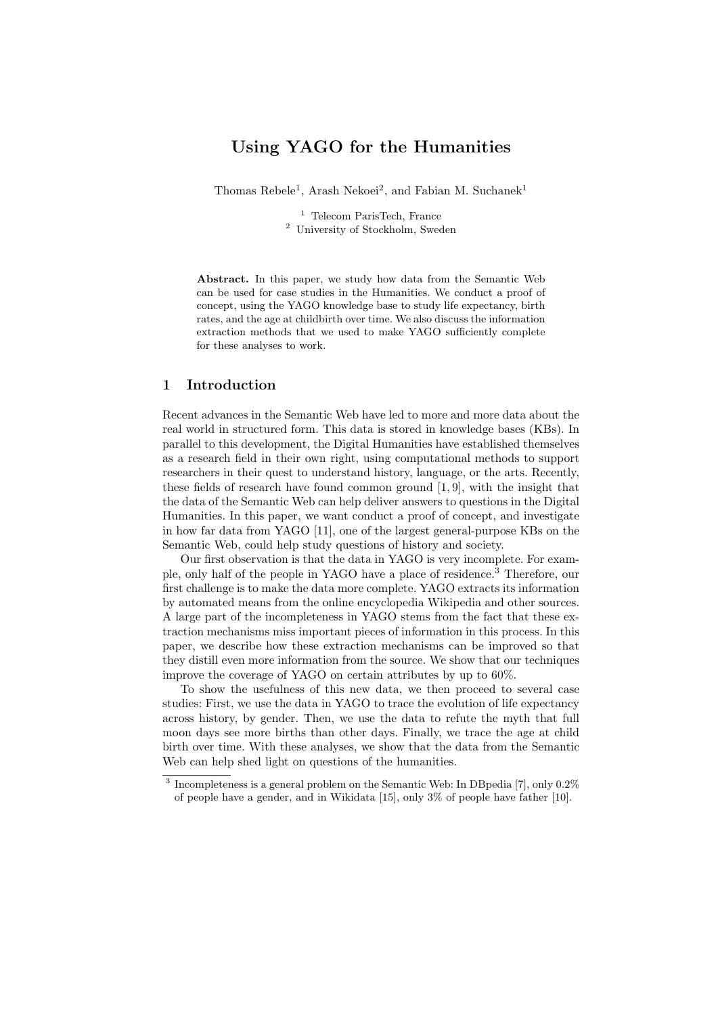# Using YAGO for the Humanities

Thomas Rebele<sup>1</sup>, Arash Nekoei<sup>2</sup>, and Fabian M. Suchanek<sup>1</sup>

<sup>1</sup> Telecom ParisTech, France <sup>2</sup> University of Stockholm, Sweden

Abstract. In this paper, we study how data from the Semantic Web can be used for case studies in the Humanities. We conduct a proof of concept, using the YAGO knowledge base to study life expectancy, birth rates, and the age at childbirth over time. We also discuss the information extraction methods that we used to make YAGO sufficiently complete for these analyses to work.

### 1 Introduction

Recent advances in the Semantic Web have led to more and more data about the real world in structured form. This data is stored in knowledge bases (KBs). In parallel to this development, the Digital Humanities have established themselves as a research field in their own right, using computational methods to support researchers in their quest to understand history, language, or the arts. Recently, these fields of research have found common ground [1, 9], with the insight that the data of the Semantic Web can help deliver answers to questions in the Digital Humanities. In this paper, we want conduct a proof of concept, and investigate in how far data from YAGO [11], one of the largest general-purpose KBs on the Semantic Web, could help study questions of history and society.

Our first observation is that the data in YAGO is very incomplete. For example, only half of the people in YAGO have a place of residence.<sup>3</sup> Therefore, our first challenge is to make the data more complete. YAGO extracts its information by automated means from the online encyclopedia Wikipedia and other sources. A large part of the incompleteness in YAGO stems from the fact that these extraction mechanisms miss important pieces of information in this process. In this paper, we describe how these extraction mechanisms can be improved so that they distill even more information from the source. We show that our techniques improve the coverage of YAGO on certain attributes by up to 60%.

To show the usefulness of this new data, we then proceed to several case studies: First, we use the data in YAGO to trace the evolution of life expectancy across history, by gender. Then, we use the data to refute the myth that full moon days see more births than other days. Finally, we trace the age at child birth over time. With these analyses, we show that the data from the Semantic Web can help shed light on questions of the humanities.

<sup>&</sup>lt;sup>3</sup> Incompleteness is a general problem on the Semantic Web: In DB pedia [7], only 0.2% of people have a gender, and in Wikidata [15], only 3% of people have father [10].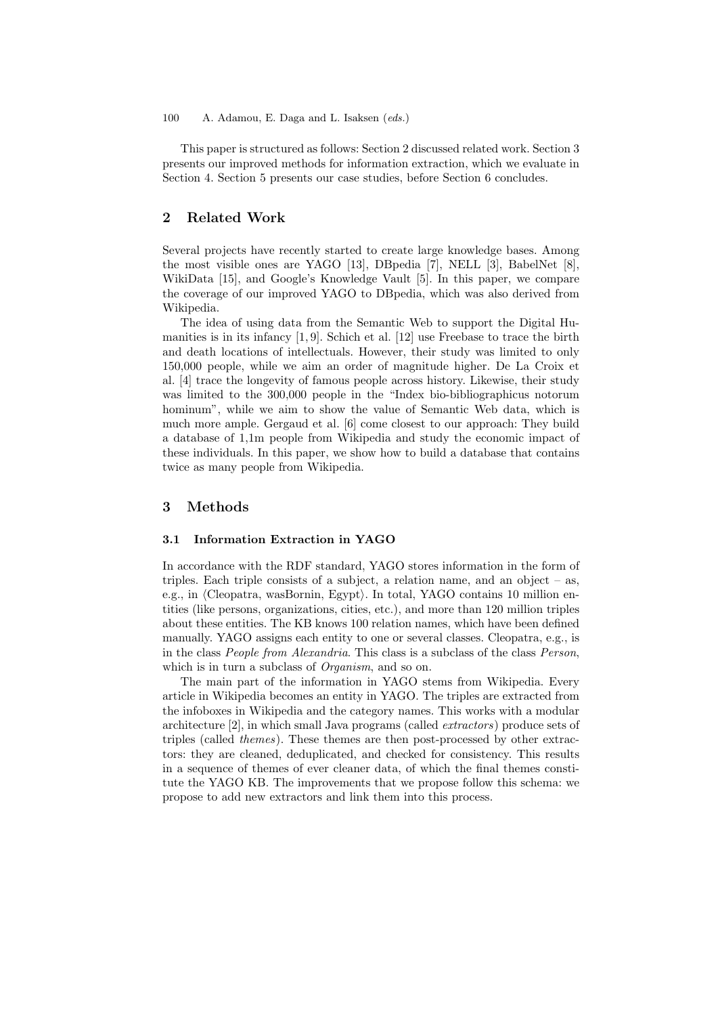#### 100 A. Adamou, E. Daga and L. Isaksen (eds.)

This paper is structured as follows: Section 2 discussed related work. Section 3 presents our improved methods for information extraction, which we evaluate in Section 4. Section 5 presents our case studies, before Section 6 concludes.

### 2 Related Work

Several projects have recently started to create large knowledge bases. Among the most visible ones are YAGO [13], DBpedia [7], NELL [3], BabelNet [8], WikiData [15], and Google's Knowledge Vault [5]. In this paper, we compare the coverage of our improved YAGO to DBpedia, which was also derived from Wikipedia.

The idea of using data from the Semantic Web to support the Digital Humanities is in its infancy [1, 9]. Schich et al. [12] use Freebase to trace the birth and death locations of intellectuals. However, their study was limited to only 150,000 people, while we aim an order of magnitude higher. De La Croix et al. [4] trace the longevity of famous people across history. Likewise, their study was limited to the 300,000 people in the "Index bio-bibliographicus notorum hominum", while we aim to show the value of Semantic Web data, which is much more ample. Gergaud et al. [6] come closest to our approach: They build a database of 1,1m people from Wikipedia and study the economic impact of these individuals. In this paper, we show how to build a database that contains twice as many people from Wikipedia.

### 3 Methods

### 3.1 Information Extraction in YAGO

In accordance with the RDF standard, YAGO stores information in the form of triples. Each triple consists of a subject, a relation name, and an object  $-$  as, e.g., in  $\langle$ Cleopatra, wasBornin, Egypt $\rangle$ . In total, YAGO contains 10 million entities (like persons, organizations, cities, etc.), and more than 120 million triples about these entities. The KB knows 100 relation names, which have been defined manually. YAGO assigns each entity to one or several classes. Cleopatra, e.g., is in the class People from Alexandria. This class is a subclass of the class Person, which is in turn a subclass of *Organism*, and so on.

The main part of the information in YAGO stems from Wikipedia. Every article in Wikipedia becomes an entity in YAGO. The triples are extracted from the infoboxes in Wikipedia and the category names. This works with a modular architecture [2], in which small Java programs (called extractors) produce sets of triples (called themes). These themes are then post-processed by other extractors: they are cleaned, deduplicated, and checked for consistency. This results in a sequence of themes of ever cleaner data, of which the final themes constitute the YAGO KB. The improvements that we propose follow this schema: we propose to add new extractors and link them into this process.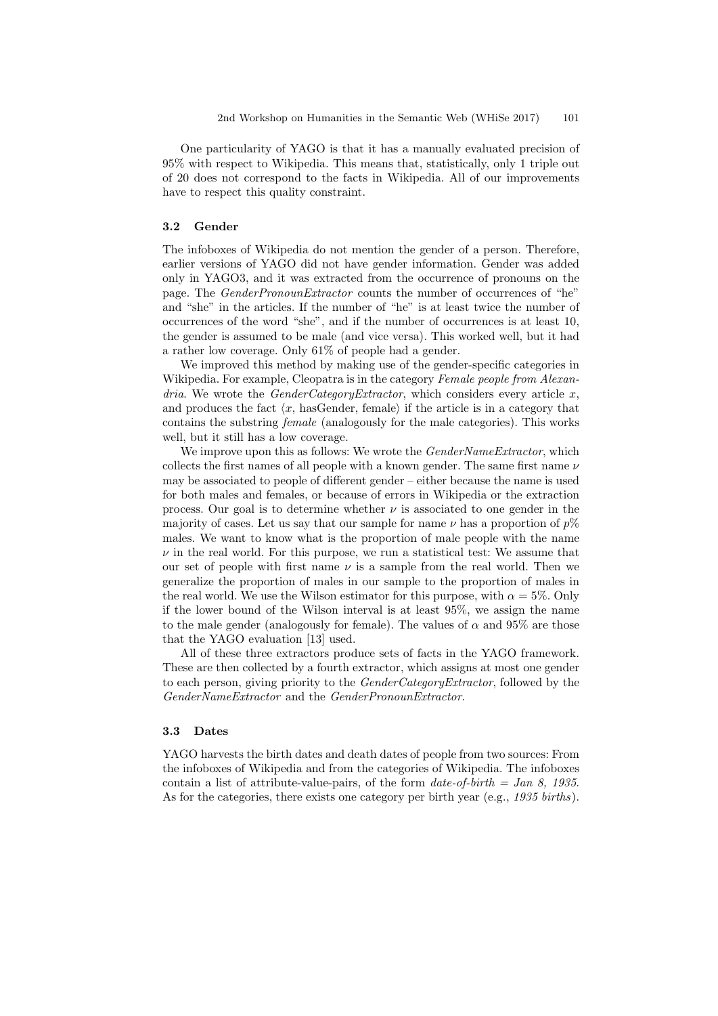One particularity of YAGO is that it has a manually evaluated precision of 95% with respect to Wikipedia. This means that, statistically, only 1 triple out of 20 does not correspond to the facts in Wikipedia. All of our improvements have to respect this quality constraint.

### 3.2 Gender

The infoboxes of Wikipedia do not mention the gender of a person. Therefore, earlier versions of YAGO did not have gender information. Gender was added only in YAGO3, and it was extracted from the occurrence of pronouns on the page. The GenderPronounExtractor counts the number of occurrences of "he" and "she" in the articles. If the number of "he" is at least twice the number of occurrences of the word "she", and if the number of occurrences is at least 10, the gender is assumed to be male (and vice versa). This worked well, but it had a rather low coverage. Only 61% of people had a gender.

We improved this method by making use of the gender-specific categories in Wikipedia. For example, Cleopatra is in the category Female people from Alexan $dria.$  We wrote the  $GenderCategoryExtractor$ , which considers every article x, and produces the fact  $\langle x, \text{ hasGender}, \text{female} \rangle$  if the article is in a category that contains the substring female (analogously for the male categories). This works well, but it still has a low coverage.

We improve upon this as follows: We wrote the  $\emph{GenderNameExtractor},$  which collects the first names of all people with a known gender. The same first name  $\nu$ may be associated to people of different gender – either because the name is used for both males and females, or because of errors in Wikipedia or the extraction process. Our goal is to determine whether  $\nu$  is associated to one gender in the majority of cases. Let us say that our sample for name  $\nu$  has a proportion of  $p\%$ males. We want to know what is the proportion of male people with the name  $\nu$  in the real world. For this purpose, we run a statistical test: We assume that our set of people with first name  $\nu$  is a sample from the real world. Then we generalize the proportion of males in our sample to the proportion of males in the real world. We use the Wilson estimator for this purpose, with  $\alpha = 5\%$ . Only if the lower bound of the Wilson interval is at least 95%, we assign the name to the male gender (analogously for female). The values of  $\alpha$  and 95% are those that the YAGO evaluation [13] used.

All of these three extractors produce sets of facts in the YAGO framework. These are then collected by a fourth extractor, which assigns at most one gender to each person, giving priority to the *GenderCategoryExtractor*, followed by the GenderNameExtractor and the GenderPronounExtractor.

### 3.3 Dates

YAGO harvests the birth dates and death dates of people from two sources: From the infoboxes of Wikipedia and from the categories of Wikipedia. The infoboxes contain a list of attribute-value-pairs, of the form  $date-of-birth = Jan 8, 1935.$ As for the categories, there exists one category per birth year (e.g., 1935 births).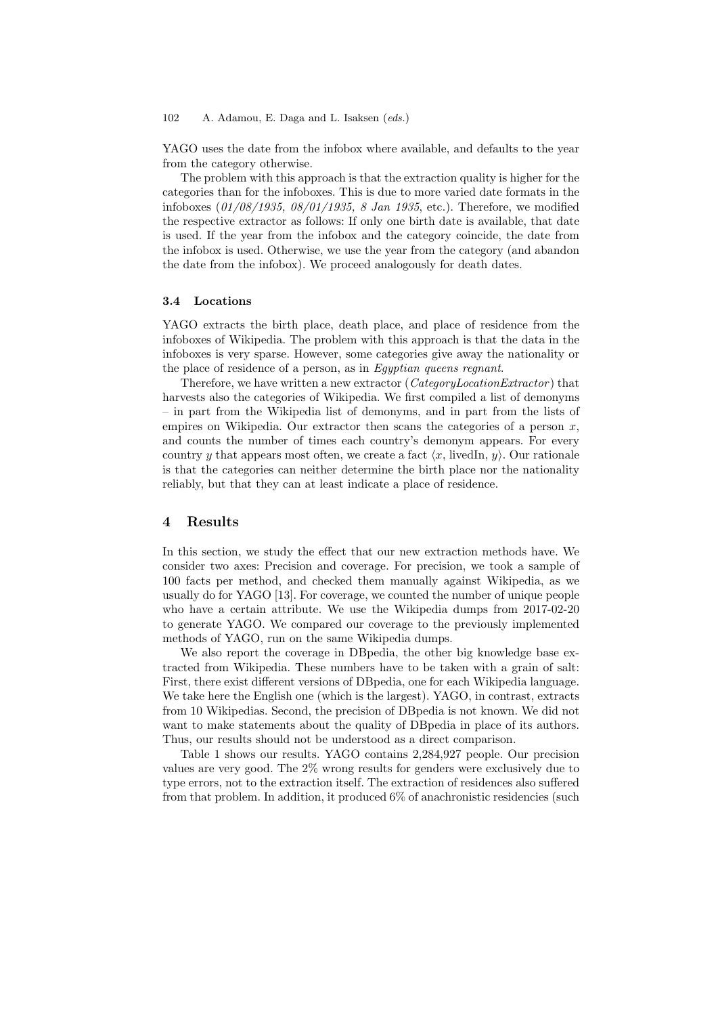#### 102 A. Adamou, E. Daga and L. Isaksen (eds.)

YAGO uses the date from the infobox where available, and defaults to the year from the category otherwise.

The problem with this approach is that the extraction quality is higher for the categories than for the infoboxes. This is due to more varied date formats in the infoboxes (01/08/1935, 08/01/1935, 8 Jan 1935, etc.). Therefore, we modified the respective extractor as follows: If only one birth date is available, that date is used. If the year from the infobox and the category coincide, the date from the infobox is used. Otherwise, we use the year from the category (and abandon the date from the infobox). We proceed analogously for death dates.

#### 3.4 Locations

YAGO extracts the birth place, death place, and place of residence from the infoboxes of Wikipedia. The problem with this approach is that the data in the infoboxes is very sparse. However, some categories give away the nationality or the place of residence of a person, as in Egyptian queens regnant.

Therefore, we have written a new extractor (CategoryLocationExtractor ) that harvests also the categories of Wikipedia. We first compiled a list of demonyms – in part from the Wikipedia list of demonyms, and in part from the lists of empires on Wikipedia. Our extractor then scans the categories of a person  $x$ , and counts the number of times each country's demonym appears. For every country y that appears most often, we create a fact  $\langle x, \text{ livedIn}, y \rangle$ . Our rationale is that the categories can neither determine the birth place nor the nationality reliably, but that they can at least indicate a place of residence.

### 4 Results

In this section, we study the effect that our new extraction methods have. We consider two axes: Precision and coverage. For precision, we took a sample of 100 facts per method, and checked them manually against Wikipedia, as we usually do for YAGO [13]. For coverage, we counted the number of unique people who have a certain attribute. We use the Wikipedia dumps from 2017-02-20 to generate YAGO. We compared our coverage to the previously implemented methods of YAGO, run on the same Wikipedia dumps.

We also report the coverage in DBpedia, the other big knowledge base extracted from Wikipedia. These numbers have to be taken with a grain of salt: First, there exist different versions of DBpedia, one for each Wikipedia language. We take here the English one (which is the largest). YAGO, in contrast, extracts from 10 Wikipedias. Second, the precision of DBpedia is not known. We did not want to make statements about the quality of DBpedia in place of its authors. Thus, our results should not be understood as a direct comparison.

Table 1 shows our results. YAGO contains 2,284,927 people. Our precision values are very good. The 2% wrong results for genders were exclusively due to type errors, not to the extraction itself. The extraction of residences also suffered from that problem. In addition, it produced 6% of anachronistic residencies (such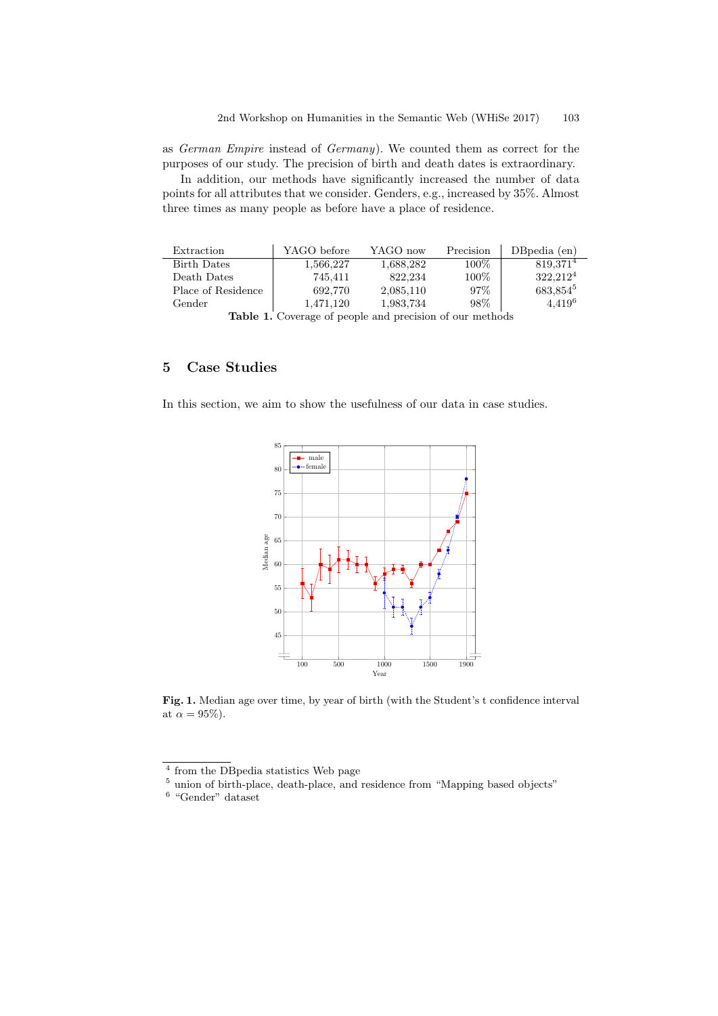as German Empire instead of Germany). We counted them as correct for the purposes of our study. The precision of birth and death dates is extraordinary.

In addition, our methods have significantly increased the number of data points for all attributes that we consider. Genders, e.g., increased by 35%. Almost three times as many people as before have a place of residence.

| Extraction         | YAGO before | YAGO now  | Precision | $DBpedia$ (en)       |
|--------------------|-------------|-----------|-----------|----------------------|
| <b>Birth Dates</b> | 1.566.227   | 1,688,282 | $100\%$   | 819.371 <sup>4</sup> |
| Death Dates        | 745.411     | 822.234   | 100%      | $322,212^4$          |
| Place of Residence | 692.770     | 2,085,110 | 97%       | 683,854 <sup>5</sup> |
| Gender             | 1.471.120   | 1,983,734 | 98\%      | $4,419^6$            |
| — 11               |             |           |           |                      |

Table 1. Coverage of people and precision of our methods

# 5 Case Studies

In this section, we aim to show the usefulness of our data in case studies.



Fig. 1. Median age over time, by year of birth (with the Student's t confidence interval at  $\alpha = 95\%$ ).

<sup>4</sup> from the DBpedia statistics Web page

<sup>&</sup>lt;sup>5</sup> union of birth-place, death-place, and residence from "Mapping based objects"

<sup>6</sup> "Gender" dataset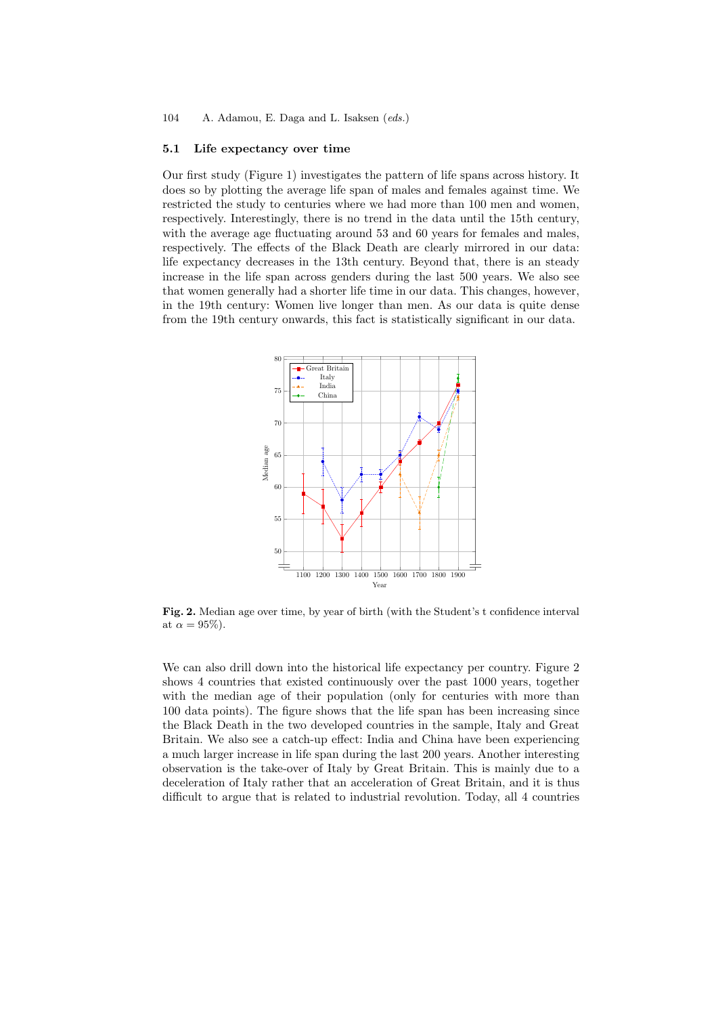#### 5.1 Life expectancy over time

Our first study (Figure 1) investigates the pattern of life spans across history. It does so by plotting the average life span of males and females against time. We restricted the study to centuries where we had more than 100 men and women, respectively. Interestingly, there is no trend in the data until the 15th century, with the average age fluctuating around 53 and 60 years for females and males, respectively. The effects of the Black Death are clearly mirrored in our data: life expectancy decreases in the 13th century. Beyond that, there is an steady increase in the life span across genders during the last 500 years. We also see that women generally had a shorter life time in our data. This changes, however, in the 19th century: Women live longer than men. As our data is quite dense from the 19th century onwards, this fact is statistically significant in our data.



Fig. 2. Median age over time, by year of birth (with the Student's t confidence interval at  $\alpha = 95\%$ ).

We can also drill down into the historical life expectancy per country. Figure 2 shows 4 countries that existed continuously over the past 1000 years, together with the median age of their population (only for centuries with more than 100 data points). The figure shows that the life span has been increasing since the Black Death in the two developed countries in the sample, Italy and Great Britain. We also see a catch-up effect: India and China have been experiencing a much larger increase in life span during the last 200 years. Another interesting observation is the take-over of Italy by Great Britain. This is mainly due to a deceleration of Italy rather that an acceleration of Great Britain, and it is thus difficult to argue that is related to industrial revolution. Today, all 4 countries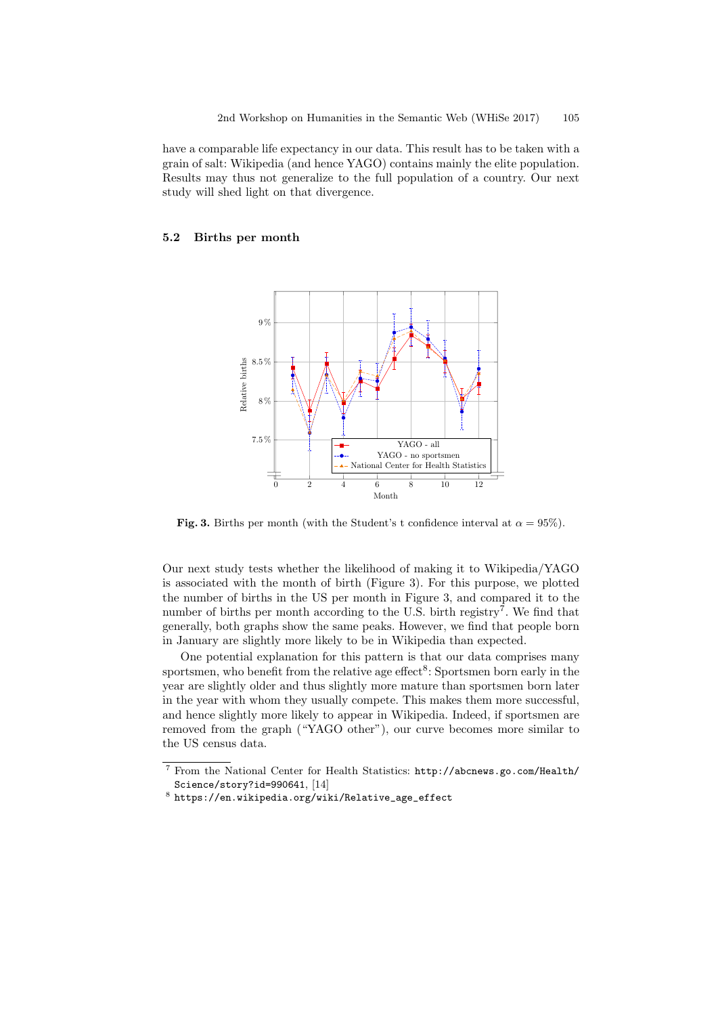have a comparable life expectancy in our data. This result has to be taken with a grain of salt: Wikipedia (and hence YAGO) contains mainly the elite population. Results may thus not generalize to the full population of a country. Our next study will shed light on that divergence.

### 5.2 Births per month



Fig. 3. Births per month (with the Student's t confidence interval at  $\alpha = 95\%$ ).

Our next study tests whether the likelihood of making it to Wikipedia/YAGO is associated with the month of birth (Figure 3). For this purpose, we plotted the number of births in the US per month in Figure 3, and compared it to the number of births per month according to the U.S. birth registry<sup>7</sup>. We find that generally, both graphs show the same peaks. However, we find that people born in January are slightly more likely to be in Wikipedia than expected.

One potential explanation for this pattern is that our data comprises many sportsmen, who benefit from the relative age effect<sup>8</sup>: Sportsmen born early in the year are slightly older and thus slightly more mature than sportsmen born later in the year with whom they usually compete. This makes them more successful, and hence slightly more likely to appear in Wikipedia. Indeed, if sportsmen are removed from the graph ("YAGO other"), our curve becomes more similar to the US census data.

<sup>7</sup> From the National Center for Health Statistics: http://abcnews.go.com/Health/ Science/story?id=990641, [14]

 $^8$  https://en.wikipedia.org/wiki/Relative\_age\_effect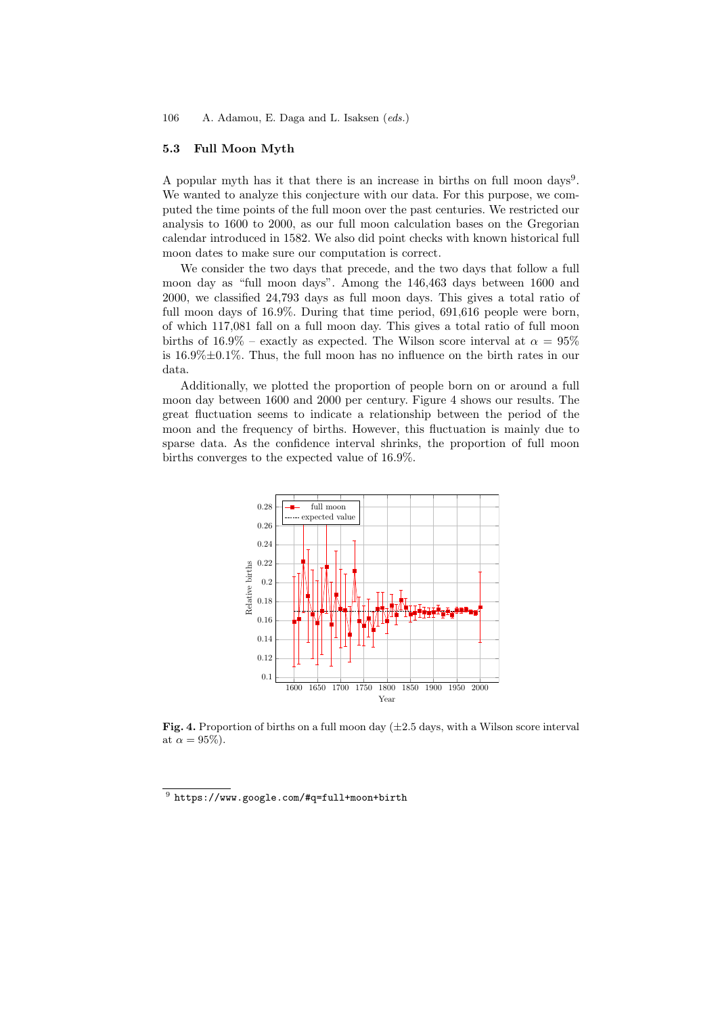### 5.3 Full Moon Myth

A popular myth has it that there is an increase in births on full moon days<sup>9</sup>. We wanted to analyze this conjecture with our data. For this purpose, we computed the time points of the full moon over the past centuries. We restricted our analysis to 1600 to 2000, as our full moon calculation bases on the Gregorian calendar introduced in 1582. We also did point checks with known historical full moon dates to make sure our computation is correct.

We consider the two days that precede, and the two days that follow a full moon day as "full moon days". Among the 146,463 days between 1600 and 2000, we classified 24,793 days as full moon days. This gives a total ratio of full moon days of 16.9%. During that time period, 691,616 people were born, of which 117,081 fall on a full moon day. This gives a total ratio of full moon births of 16.9% – exactly as expected. The Wilson score interval at  $\alpha = 95\%$ is 16.9%±0.1%. Thus, the full moon has no influence on the birth rates in our data.

Additionally, we plotted the proportion of people born on or around a full moon day between 1600 and 2000 per century. Figure 4 shows our results. The great fluctuation seems to indicate a relationship between the period of the moon and the frequency of births. However, this fluctuation is mainly due to sparse data. As the confidence interval shrinks, the proportion of full moon births converges to the expected value of 16.9%.



Fig. 4. Proportion of births on a full moon day  $(\pm 2.5 \text{ days}, \text{with a Wilson score interval})$ at  $\alpha = 95\%$ ).

 $^9$  https://www.google.com/#q=full+moon+birth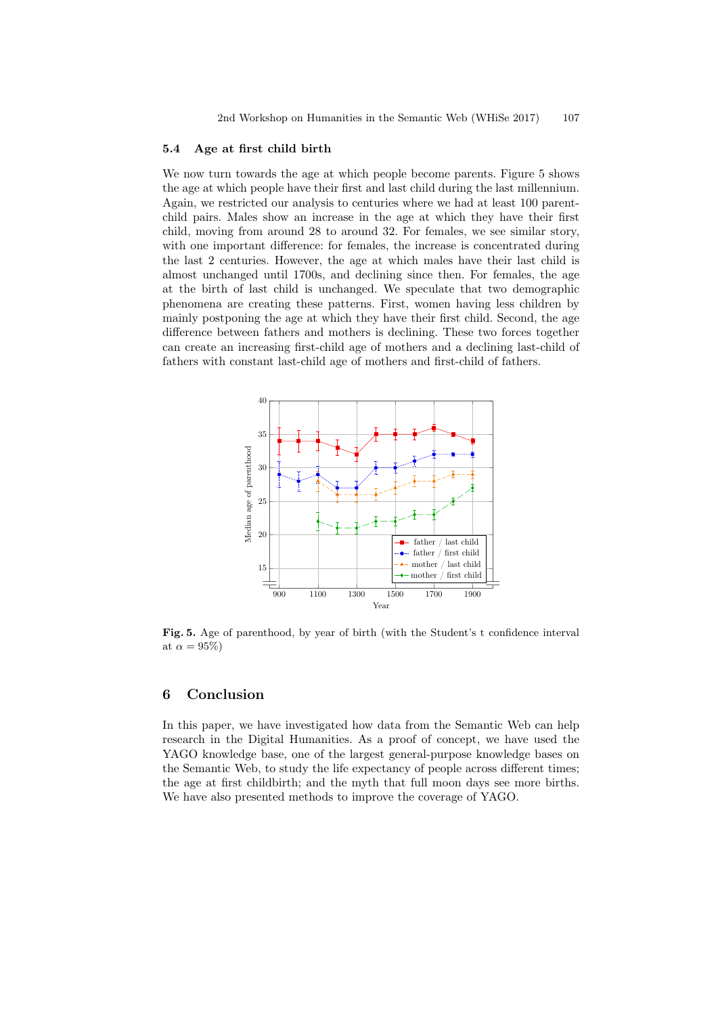#### 5.4 Age at first child birth

We now turn towards the age at which people become parents. Figure 5 shows the age at which people have their first and last child during the last millennium. Again, we restricted our analysis to centuries where we had at least 100 parentchild pairs. Males show an increase in the age at which they have their first child, moving from around 28 to around 32. For females, we see similar story, with one important difference: for females, the increase is concentrated during the last 2 centuries. However, the age at which males have their last child is almost unchanged until 1700s, and declining since then. For females, the age at the birth of last child is unchanged. We speculate that two demographic phenomena are creating these patterns. First, women having less children by mainly postponing the age at which they have their first child. Second, the age difference between fathers and mothers is declining. These two forces together can create an increasing first-child age of mothers and a declining last-child of fathers with constant last-child age of mothers and first-child of fathers.



Fig. 5. Age of parenthood, by year of birth (with the Student's t confidence interval at  $\alpha = 95\%)$ 

## 6 Conclusion

In this paper, we have investigated how data from the Semantic Web can help research in the Digital Humanities. As a proof of concept, we have used the YAGO knowledge base, one of the largest general-purpose knowledge bases on the Semantic Web, to study the life expectancy of people across different times; the age at first childbirth; and the myth that full moon days see more births. We have also presented methods to improve the coverage of YAGO.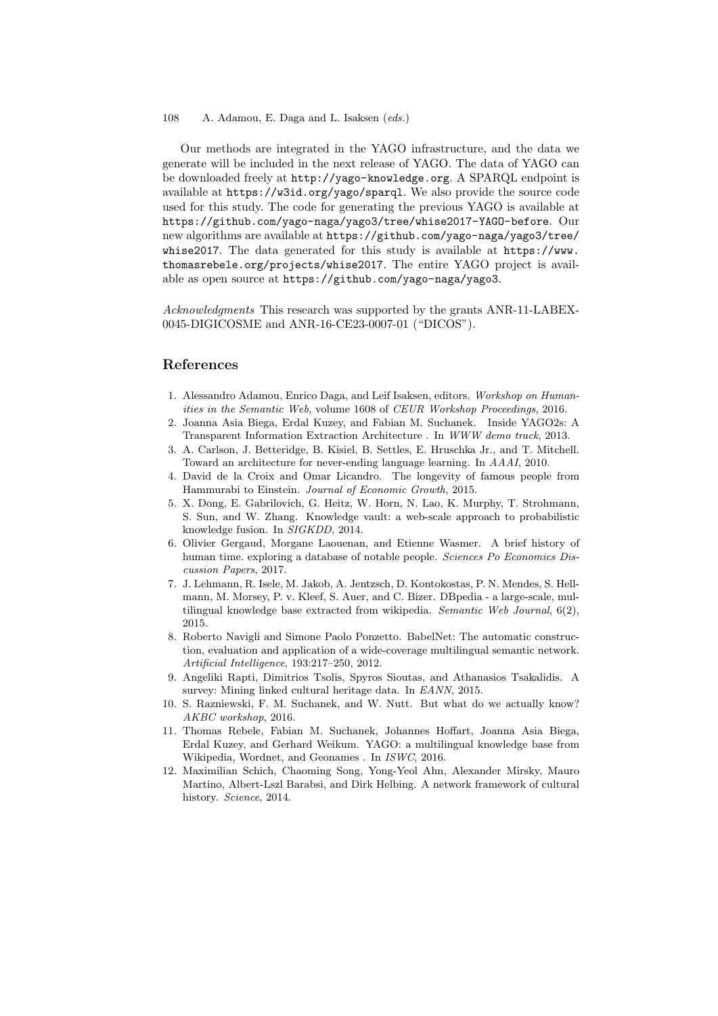#### 108 A. Adamou, E. Daga and L. Isaksen (eds.)

Our methods are integrated in the YAGO infrastructure, and the data we generate will be included in the next release of YAGO. The data of YAGO can be downloaded freely at http://yago-knowledge.org. A SPARQL endpoint is available at https://w3id.org/yago/sparql. We also provide the source code used for this study. The code for generating the previous YAGO is available at https://github.com/yago-naga/yago3/tree/whise2017-YAGO-before. Our new algorithms are available at https://github.com/yago-naga/yago3/tree/ whise2017. The data generated for this study is available at https://www. thomasrebele.org/projects/whise2017. The entire YAGO project is available as open source at https://github.com/yago-naga/yago3.

Acknowledgments This research was supported by the grants ANR-11-LABEX-0045-DIGICOSME and ANR-16-CE23-0007-01 ("DICOS").

### References

- 1. Alessandro Adamou, Enrico Daga, and Leif Isaksen, editors. Workshop on Humanities in the Semantic Web, volume 1608 of CEUR Workshop Proceedings, 2016.
- 2. Joanna Asia Biega, Erdal Kuzey, and Fabian M. Suchanek. Inside YAGO2s: A Transparent Information Extraction Architecture . In WWW demo track, 2013.
- 3. A. Carlson, J. Betteridge, B. Kisiel, B. Settles, E. Hruschka Jr., and T. Mitchell. Toward an architecture for never-ending language learning. In AAAI, 2010.
- 4. David de la Croix and Omar Licandro. The longevity of famous people from Hammurabi to Einstein. Journal of Economic Growth, 2015.
- 5. X. Dong, E. Gabrilovich, G. Heitz, W. Horn, N. Lao, K. Murphy, T. Strohmann, S. Sun, and W. Zhang. Knowledge vault: a web-scale approach to probabilistic knowledge fusion. In SIGKDD, 2014.
- 6. Olivier Gergaud, Morgane Laouenan, and Etienne Wasmer. A brief history of human time. exploring a database of notable people. Sciences Po Economics Discussion Papers, 2017.
- 7. J. Lehmann, R. Isele, M. Jakob, A. Jentzsch, D. Kontokostas, P. N. Mendes, S. Hellmann, M. Morsey, P. v. Kleef, S. Auer, and C. Bizer. DBpedia - a large-scale, multilingual knowledge base extracted from wikipedia. Semantic Web Journal, 6(2), 2015.
- 8. Roberto Navigli and Simone Paolo Ponzetto. BabelNet: The automatic construction, evaluation and application of a wide-coverage multilingual semantic network. Artificial Intelligence, 193:217–250, 2012.
- 9. Angeliki Rapti, Dimitrios Tsolis, Spyros Sioutas, and Athanasios Tsakalidis. A survey: Mining linked cultural heritage data. In EANN, 2015.
- 10. S. Razniewski, F. M. Suchanek, and W. Nutt. But what do we actually know? AKBC workshop, 2016.
- 11. Thomas Rebele, Fabian M. Suchanek, Johannes Hoffart, Joanna Asia Biega, Erdal Kuzey, and Gerhard Weikum. YAGO: a multilingual knowledge base from Wikipedia, Wordnet, and Geonames . In ISWC, 2016.
- 12. Maximilian Schich, Chaoming Song, Yong-Yeol Ahn, Alexander Mirsky, Mauro Martino, Albert-Lszl Barabsi, and Dirk Helbing. A network framework of cultural history. Science, 2014.